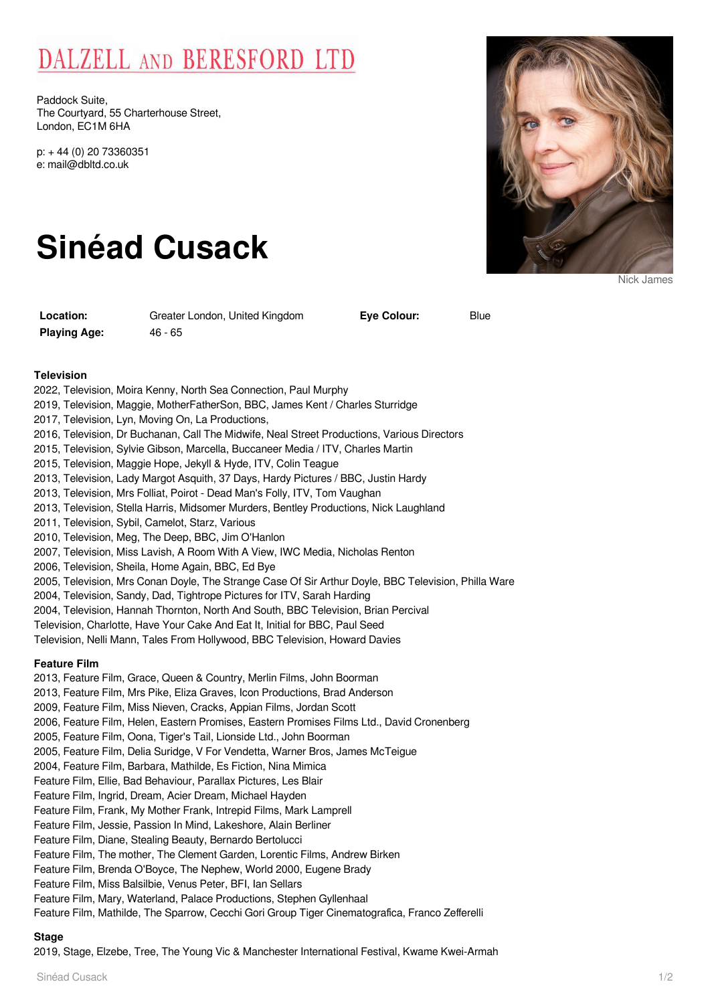# DALZELL AND BERESFORD LTD

Paddock Suite, The Courtyard, 55 Charterhouse Street, London, EC1M 6HA

p: + 44 (0) 20 73360351 e: mail@dbltd.co.uk

# **Sinéad Cusack**

**Playing Age:** 46 - 65

**Location:** Greater London, United Kingdom

**Eve Colour:** Blue

Nick James

#### **Television**

- 2022, Television, Moira Kenny, North Sea Connection, Paul Murphy
- 2019, Television, Maggie, MotherFatherSon, BBC, James Kent / Charles Sturridge
- 2017, Television, Lyn, Moving On, La Productions,
- 2016, Television, Dr Buchanan, Call The Midwife, Neal Street Productions, Various Directors
- 2015, Television, Sylvie Gibson, Marcella, Buccaneer Media / ITV, Charles Martin
- 2015, Television, Maggie Hope, Jekyll & Hyde, ITV, Colin Teague
- 2013, Television, Lady Margot Asquith, 37 Days, Hardy Pictures / BBC, Justin Hardy
- 2013, Television, Mrs Folliat, Poirot Dead Man's Folly, ITV, Tom Vaughan
- 2013, Television, Stella Harris, Midsomer Murders, Bentley Productions, Nick Laughland
- 2011, Television, Sybil, Camelot, Starz, Various
- 2010, Television, Meg, The Deep, BBC, Jim O'Hanlon
- 2007, Television, Miss Lavish, A Room With A View, IWC Media, Nicholas Renton
- 2006, Television, Sheila, Home Again, BBC, Ed Bye
- 2005, Television, Mrs Conan Doyle, The Strange Case Of Sir Arthur Doyle, BBC Television, Philla Ware
- 2004, Television, Sandy, Dad, Tightrope Pictures for ITV, Sarah Harding
- 2004, Television, Hannah Thornton, North And South, BBC Television, Brian Percival
- Television, Charlotte, Have Your Cake And Eat It, Initial for BBC, Paul Seed
- Television, Nelli Mann, Tales From Hollywood, BBC Television, Howard Davies

#### **Feature Film**

2013, Feature Film, Grace, Queen & Country, Merlin Films, John Boorman

- 2013, Feature Film, Mrs Pike, Eliza Graves, Icon Productions, Brad Anderson
- 2009, Feature Film, Miss Nieven, Cracks, Appian Films, Jordan Scott
- 2006, Feature Film, Helen, Eastern Promises, Eastern Promises Films Ltd., David Cronenberg
- 2005, Feature Film, Oona, Tiger's Tail, Lionside Ltd., John Boorman
- 2005, Feature Film, Delia Suridge, V For Vendetta, Warner Bros, James McTeigue
- 2004, Feature Film, Barbara, Mathilde, Es Fiction, Nina Mimica
- Feature Film, Ellie, Bad Behaviour, Parallax Pictures, Les Blair
- Feature Film, Ingrid, Dream, Acier Dream, Michael Hayden
- Feature Film, Frank, My Mother Frank, Intrepid Films, Mark Lamprell
- Feature Film, Jessie, Passion In Mind, Lakeshore, Alain Berliner
- Feature Film, Diane, Stealing Beauty, Bernardo Bertolucci
- Feature Film, The mother, The Clement Garden, Lorentic Films, Andrew Birken
- Feature Film, Brenda O'Boyce, The Nephew, World 2000, Eugene Brady
- Feature Film, Miss Balsilbie, Venus Peter, BFI, Ian Sellars
- Feature Film, Mary, Waterland, Palace Productions, Stephen Gyllenhaal
- Feature Film, Mathilde, The Sparrow, Cecchi Gori Group Tiger Cinematografica, Franco Zefferelli

## **Stage**

2019, Stage, Elzebe, Tree, The Young Vic & Manchester International Festival, Kwame Kwei-Armah